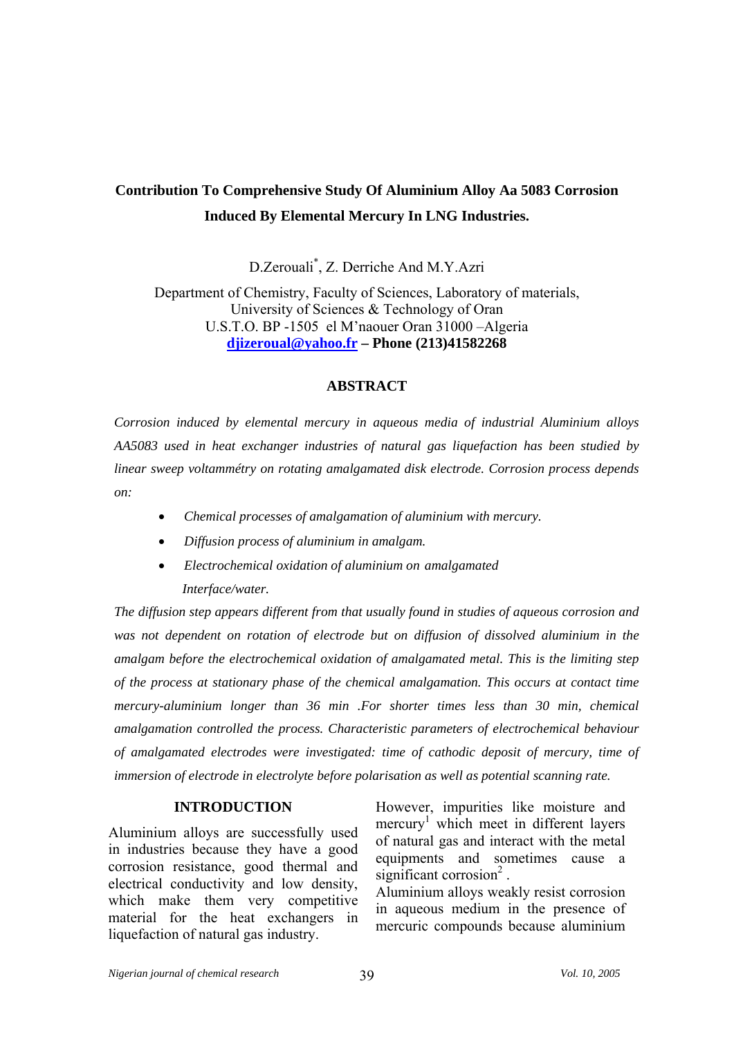# **Contribution To Comprehensive Study Of Aluminium Alloy Aa 5083 Corrosion Induced By Elemental Mercury In LNG Industries.**

D.Zerouali\* , Z. Derriche And M.Y.Azri

Department of Chemistry, Faculty of Sciences, Laboratory of materials, University of Sciences & Technology of Oran U.S.T.O. BP -1505 el M'naouer Oran 31000 –Algeria **[djizeroual@yahoo.fr](mailto:djizeroual@yahoo.fr) – Phone (213)41582268** 

## **ABSTRACT**

*Corrosion induced by elemental mercury in aqueous media of industrial Aluminium alloys AA5083 used in heat exchanger industries of natural gas liquefaction has been studied by linear sweep voltammétry on rotating amalgamated disk electrode. Corrosion process depends on:* 

- • *Chemical processes of amalgamation of aluminium with mercury.*
- • *Diffusion process of aluminium in amalgam.*
- • *Electrochemical oxidation of aluminium on amalgamated Interface/water.*

*The diffusion step appears different from that usually found in studies of aqueous corrosion and was not dependent on rotation of electrode but on diffusion of dissolved aluminium in the amalgam before the electrochemical oxidation of amalgamated metal. This is the limiting step of the process at stationary phase of the chemical amalgamation. This occurs at contact time mercury-aluminium longer than 36 min .For shorter times less than 30 min, chemical amalgamation controlled the process. Characteristic parameters of electrochemical behaviour of amalgamated electrodes were investigated: time of cathodic deposit of mercury, time of immersion of electrode in electrolyte before polarisation as well as potential scanning rate.* 

## **INTRODUCTION**

Aluminium alloys are successfully used in industries because they have a good corrosion resistance, good thermal and electrical conductivity and low density, which make them very competitive material for the heat exchangers in liquefaction of natural gas industry.

However, impurities like moisture and mercury<sup>1</sup> which meet in different layers of natural gas and interact with the metal equipments and sometimes cause a significant corrosion $2$ .

Aluminium alloys weakly resist corrosion in aqueous medium in the presence of mercuric compounds because aluminium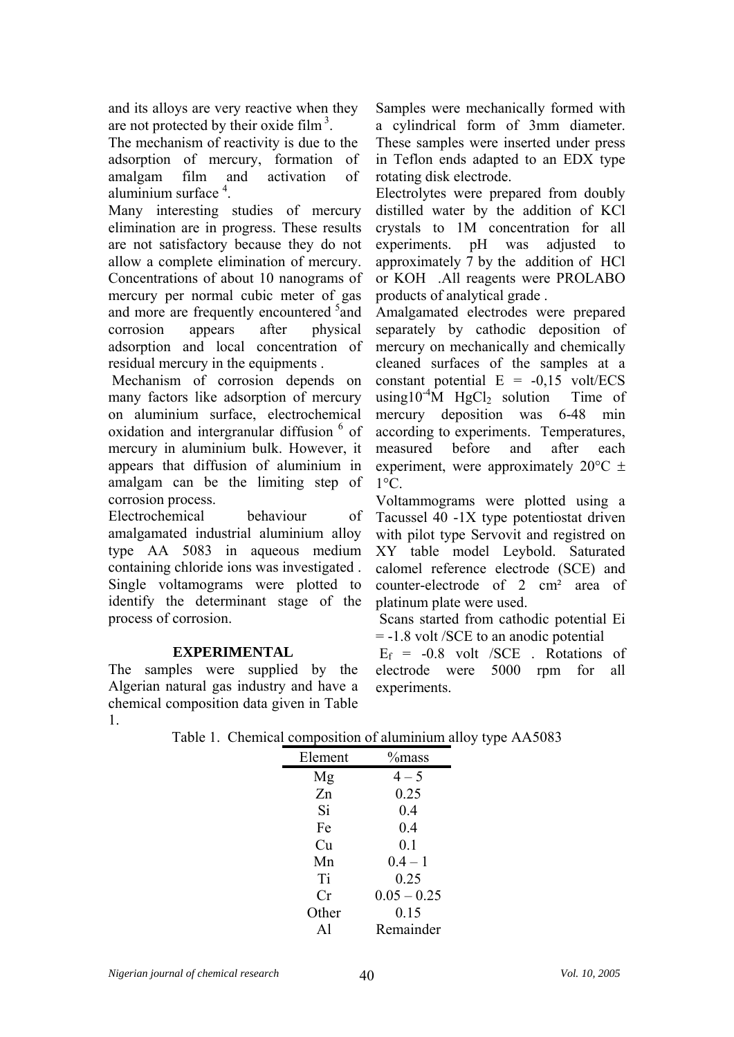and its alloys are very reactive when they are not protected by their oxide film  $3$ .

The mechanism of reactivity is due to the adsorption of mercury, formation of amalgam film and activation of aluminium surface<sup>4</sup>.

Many interesting studies of mercury elimination are in progress. These results are not satisfactory because they do not allow a complete elimination of mercury. Concentrations of about 10 nanograms of mercury per normal cubic meter of gas and more are frequently encountered <sup>5</sup> and corrosion appears after physical adsorption and local concentration of residual mercury in the equipments .

 Mechanism of corrosion depends on many factors like adsorption of mercury on aluminium surface, electrochemical oxidation and intergranular diffusion <sup>6</sup> of mercury in aluminium bulk. However, it appears that diffusion of aluminium in amalgam can be the limiting step of corrosion process.

Electrochemical behaviour of amalgamated industrial aluminium alloy type AA 5083 in aqueous medium containing chloride ions was investigated . Single voltamograms were plotted to identify the determinant stage of the process of corrosion.

# **EXPERIMENTAL**

The samples were supplied by the Algerian natural gas industry and have a chemical composition data given in Table 1.

Samples were mechanically formed with a cylindrical form of 3mm diameter. These samples were inserted under press in Teflon ends adapted to an EDX type rotating disk electrode.

Electrolytes were prepared from doubly distilled water by the addition of KCl crystals to 1M concentration for all experiments. pH was adjusted to approximately 7 by the addition of HCl or KOH .All reagents were PROLABO products of analytical grade .

Amalgamated electrodes were prepared separately by cathodic deposition of mercury on mechanically and chemically cleaned surfaces of the samples at a constant potential  $E = -0.15$  volt/ECS using10<sup>-4</sup>M HgCl<sub>2</sub> solution Time of mercury deposition was 6-48 min according to experiments. Temperatures, measured before and after each experiment, were approximately  $20^{\circ}$ C  $\pm$  $1^{\circ}C$ .

Voltammograms were plotted using a Tacussel 40 -1X type potentiostat driven with pilot type Servovit and registred on XY table model Leybold. Saturated calomel reference electrode (SCE) and counter-electrode of 2 cm² area of platinum plate were used.

 Scans started from cathodic potential Ei = -1.8 volt /SCE to an anodic potential

 $E_f$  = -0.8 volt /SCE . Rotations of electrode were 5000 rpm for all experiments.

|  | Table 1. Chemical composition of aluminium alloy type AA5083 |  |  |
|--|--------------------------------------------------------------|--|--|
|  |                                                              |  |  |

| Element | $%$ mass      |  |  |  |
|---------|---------------|--|--|--|
| Mg      | $4 - 5$       |  |  |  |
| Zn      | 0.25          |  |  |  |
| Si      | 0.4           |  |  |  |
| Fe      | 0.4           |  |  |  |
| Cu      | 0.1           |  |  |  |
| Mn      | $0.4 - 1$     |  |  |  |
| Ti      | 0.25          |  |  |  |
| Сr      | $0.05 - 0.25$ |  |  |  |
| Other   | 0.15          |  |  |  |
| A1      | Remainder     |  |  |  |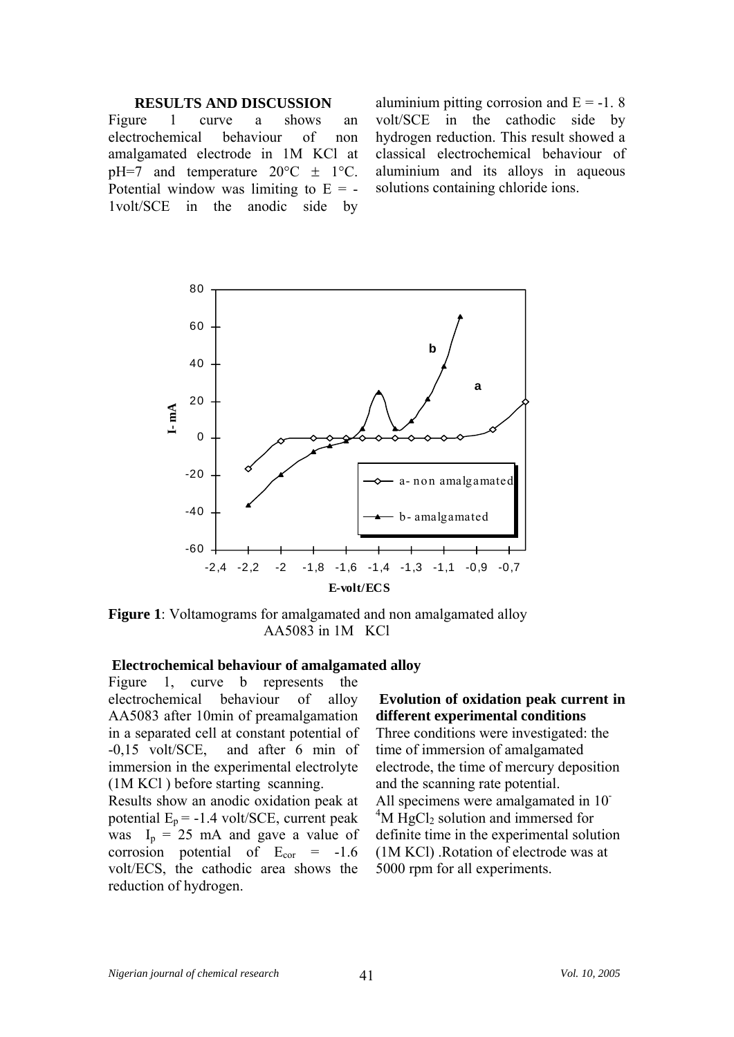#### **RESULTS AND DISCUSSION**

Figure 1 curve a shows an electrochemical behaviour of non amalgamated electrode in 1M KCl at  $pH=7$  and temperature  $20^{\circ}C \pm 1^{\circ}C$ . Potential window was limiting to  $E = -$ 1volt/SCE in the anodic side by aluminium pitting corrosion and  $E = -1$ . 8 volt/SCE in the cathodic side by hydrogen reduction. This result showed a classical electrochemical behaviour of aluminium and its alloys in aqueous solutions containing chloride ions.



**Figure 1**: Voltamograms for amalgamated and non amalgamated alloy AA5083 in 1M KCl

## **Electrochemical behaviour of amalgamated alloy**

Figure 1, curve b represents the electrochemical behaviour of alloy AA5083 after 10min of preamalgamation in a separated cell at constant potential of -0,15 volt/SCE, and after 6 min of immersion in the experimental electrolyte (1M KCl ) before starting scanning.

Results show an anodic oxidation peak at potential  $E_p = -1.4$  volt/SCE, current peak was  $I_p = 25$  mA and gave a value of corrosion potential of  $E_{cor} = -1.6$ volt/ECS, the cathodic area shows the reduction of hydrogen.

# **Evolution of oxidation peak current in different experimental conditions**

Three conditions were investigated: the time of immersion of amalgamated electrode, the time of mercury deposition and the scanning rate potential. All specimens were amalgamated in 10<sup>-</sup> <sup>4</sup>M HgCl<sub>2</sub> solution and immersed for definite time in the experimental solution (1M KCl) .Rotation of electrode was at 5000 rpm for all experiments.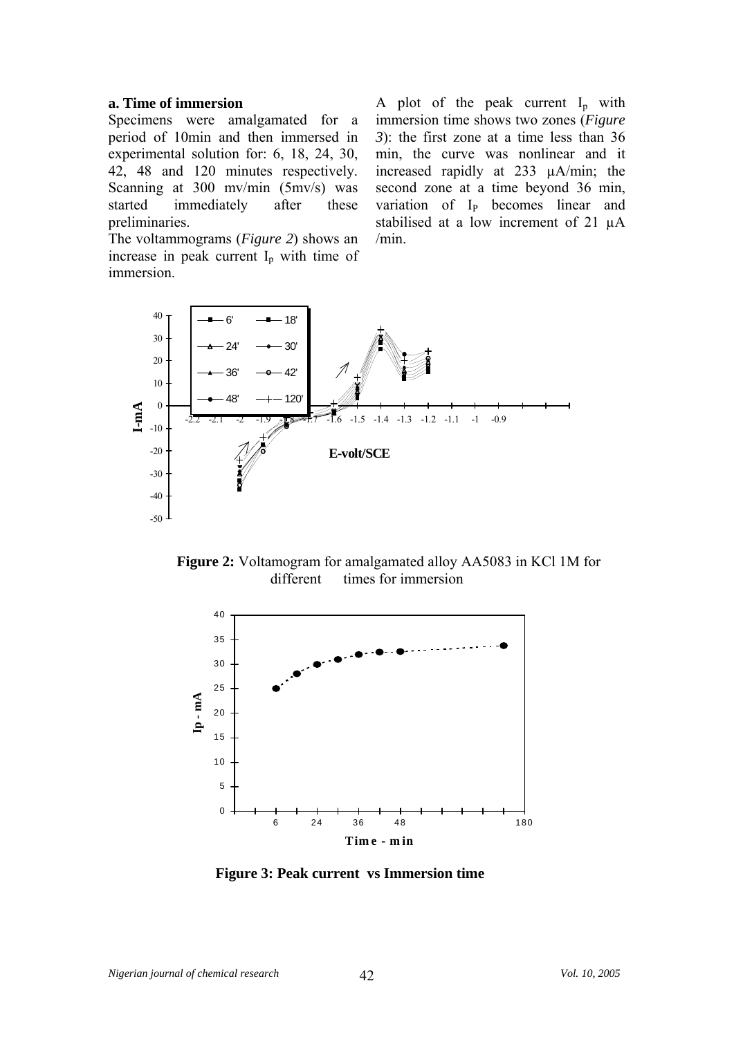## **a. Time of immersion**

Specimens were amalgamated for a period of 10min and then immersed in experimental solution for: 6, 18, 24, 30, 42, 48 and 120 minutes respectively. Scanning at 300 mv/min (5mv/s) was started immediately after these preliminaries.

The voltammograms (*Figure 2*) shows an increase in peak current  $I_p$  with time of immersion.

A plot of the peak current  $I_p$  with immersion time shows two zones (*Figure 3*): the first zone at a time less than 36 min, the curve was nonlinear and it increased rapidly at 233 µA/min; the second zone at a time beyond 36 min, variation of I<sub>P</sub> becomes linear and stabilised at a low increment of 21 µA /min.



**Figure 2:** Voltamogram for amalgamated alloy AA5083 in KCl 1M for different times for immersion



 **Figure 3: Peak current vs Immersion time**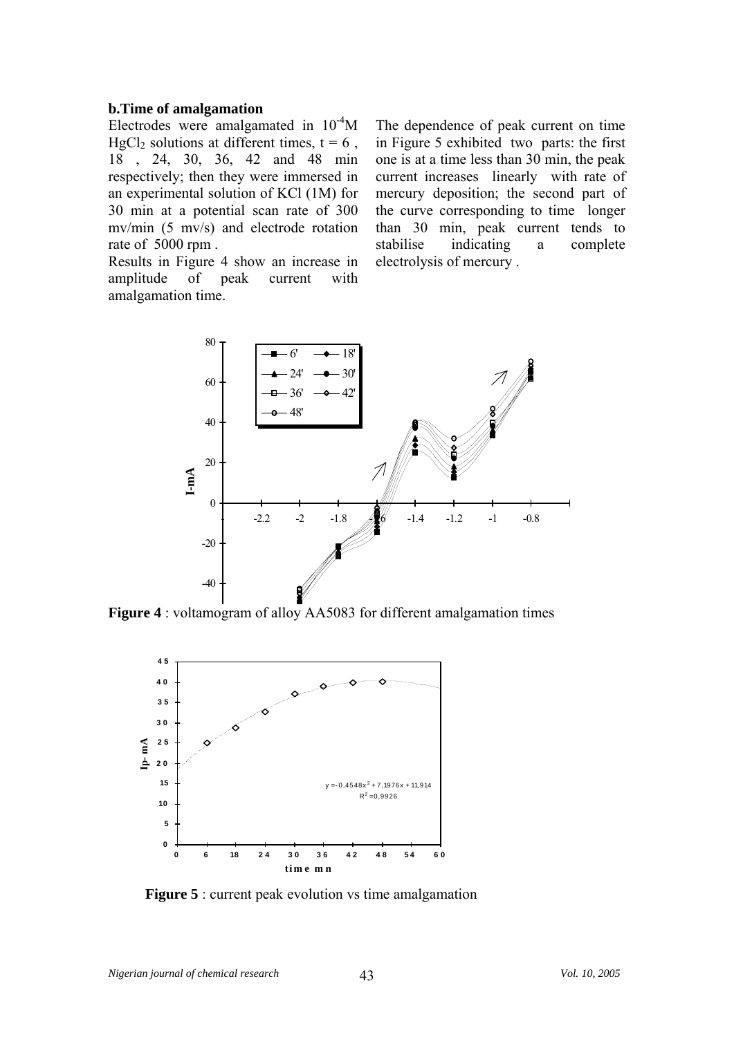#### **b.Time of amalgamation**

Electrodes were amalgamated in  $10^{-4}$ M HgCl<sub>2</sub> solutions at different times,  $t = 6$ , 18 , 24, 30, 36, 42 and 48 min respectively; then they were immersed in an experimental solution of KCl (1M) for 30 min at a potential scan rate of 300 mv/min (5 mv/s) and electrode rotation rate of 5000 rpm .

Results in Figure 4 show an increase in amplitude of peak current with amalgamation time.

The dependence of peak current on time in Figure 5 exhibited two parts: the first one is at a time less than 30 min, the peak current increases linearly with rate of mercury deposition; the second part of the curve corresponding to time longer than 30 min, peak current tends to stabilise indicating a complete electrolysis of mercury .



**Figure 4** : voltamogram of alloy AA5083 for different amalgamation times



**Figure 5** : current peak evolution vs time amalgamation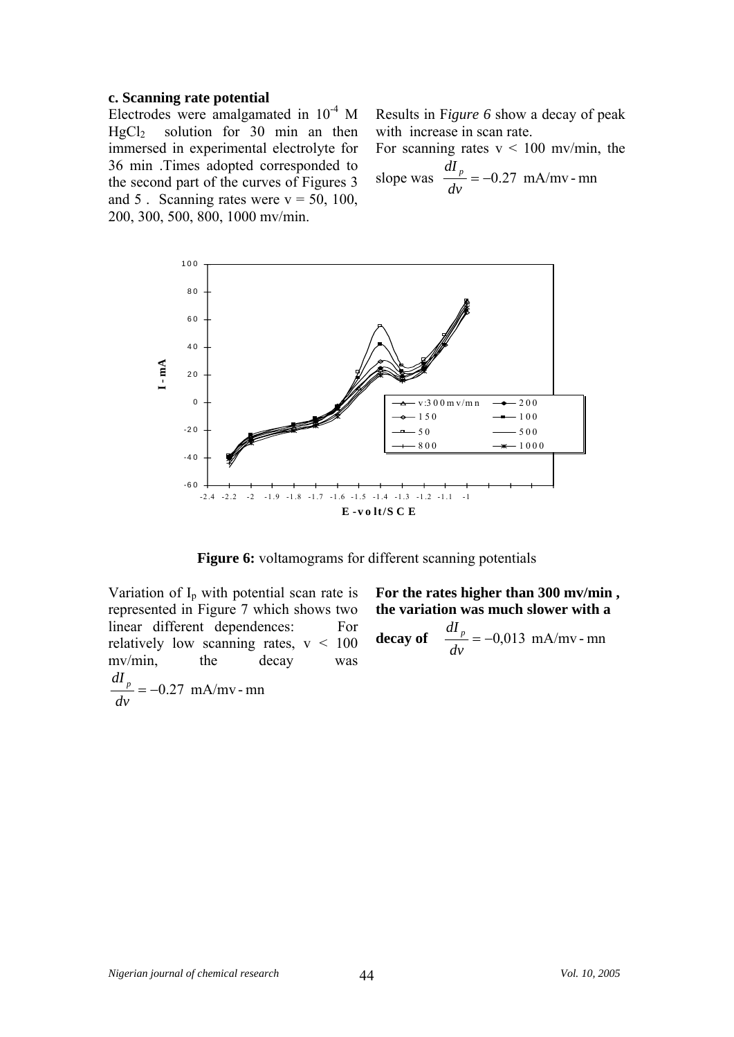#### **c. Scanning rate potential**

Electrodes were amalgamated in  $10^{-4}$  M HgCl2 solution for 30 min an then immersed in experimental electrolyte for 36 min .Times adopted corresponded to the second part of the curves of Figures 3 and 5. Scanning rates were  $v = 50$ , 100, 200, 300, 500, 800, 1000 mv/min.

Results in F*igure 6* show a decay of peak with increase in scan rate.

For scanning rates  $v < 100$  mv/min, the slope was  $\frac{m}{m} = -0.27$  mA/mv - mn *dv dI <sup>p</sup>*



**Figure 6:** voltamograms for different scanning potentials

Variation of  $I_p$  with potential scan rate is represented in Figure 7 which shows two linear different dependences: For relatively low scanning rates,  $v < 100$ mv/min, the decay was  $=-0.27$  mA/mv - mn *dv dI <sup>p</sup>*

**For the rates higher than 300 mv/min , the variation was much slower with a** 

decay of 
$$
\frac{dI_p}{dv} = -0.013 \text{ mA/mv - mn}
$$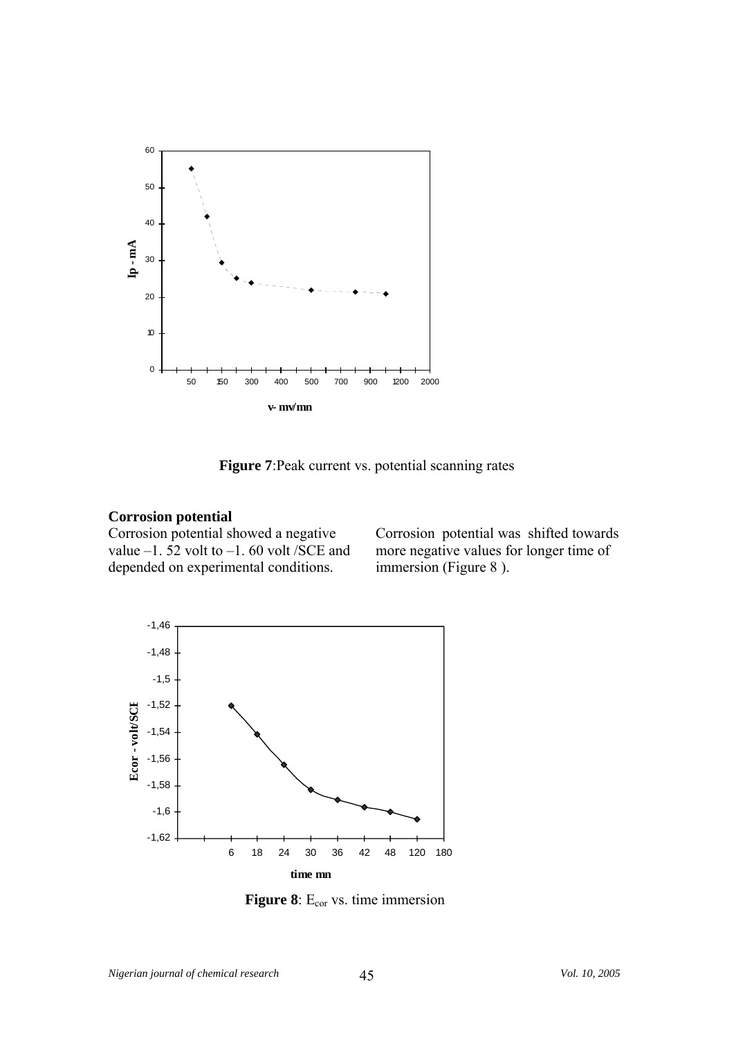

**Figure 7**:Peak current vs. potential scanning rates

# **Corrosion potential**

Corrosion potential showed a negative value  $-1.52$  volt to  $-1.60$  volt /SCE and depended on experimental conditions.

Corrosion potential was shifted towards more negative values for longer time of immersion (Figure 8 ).



**Figure 8**: E<sub>cor</sub> vs. time immersion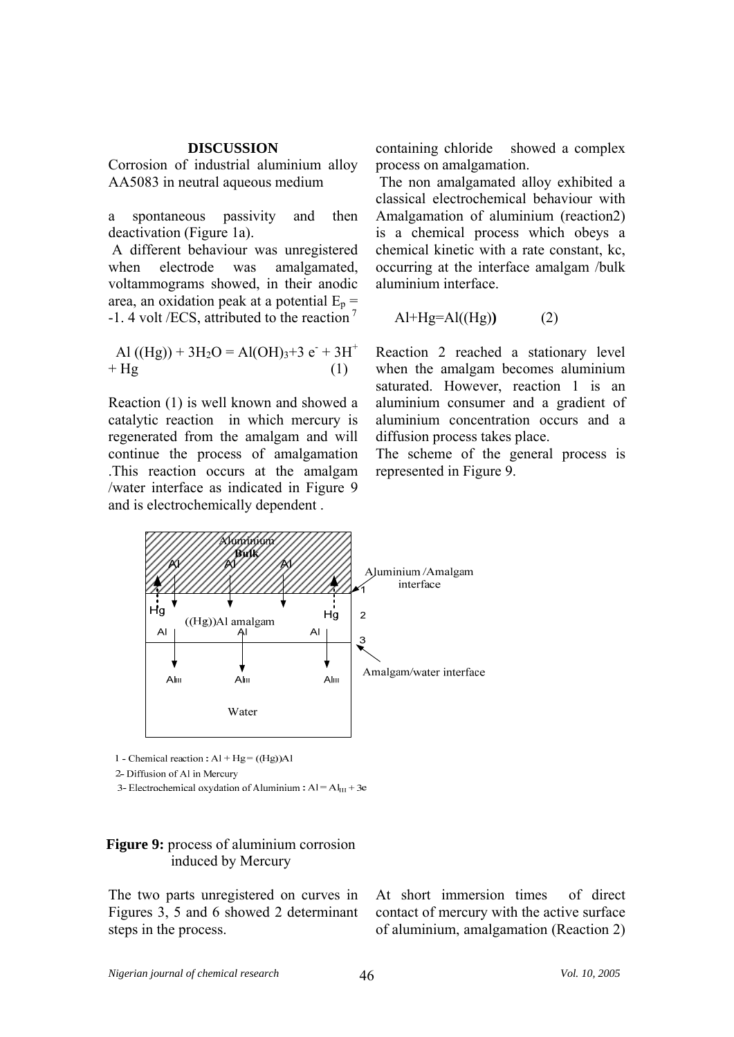### **DISCUSSION**

Corrosion of industrial aluminium alloy AA5083 in neutral aqueous medium

a spontaneous passivity and then deactivation (Figure 1a).

 A different behaviour was unregistered when electrode was amalgamated, voltammograms showed, in their anodic area, an oxidation peak at a potential  $E_p =$  $-1.4$  volt /ECS, attributed to the reaction<sup>7</sup>  $\qquad$  Al+Hg=Al((Hg)) (2)

$$
Al ( (Hg)) + 3H2O = Al(OH)3+3 e+ + Hg
$$
 (1)

Reaction (1) is well known and showed a catalytic reaction in which mercury is regenerated from the amalgam and will continue the process of amalgamation .This reaction occurs at the amalgam /water interface as indicated in Figure 9 and is electrochemically dependent .

containing chloride showed a complex process on amalgamation.

 The non amalgamated alloy exhibited a classical electrochemical behaviour with Amalgamation of aluminium (reaction2) is a chemical process which obeys a chemical kinetic with a rate constant, kc, occurring at the interface amalgam /bulk aluminium interface.

$$
Al+Hg=Al(Hg))
$$
 (2)

Reaction 2 reached a stationary level when the amalgam becomes aluminium saturated. However, reaction 1 is an aluminium consumer and a gradient of aluminium concentration occurs and a diffusion process takes place.

The scheme of the general process is represented in Figure 9.



1 - Chemical reaction :  $Al + Hg = ((Hg))Al$ 

2- Diffusion of Al in Mercury

3- Electrochemical oxydation of Aluminium:  $AI = AI<sub>III</sub> + 3e$ 

# **Figure 9:** process of aluminium corrosion induced by Mercury

The two parts unregistered on curves in Figures 3, 5 and 6 showed 2 determinant steps in the process.

At short immersion times of direct contact of mercury with the active surface of aluminium, amalgamation (Reaction 2)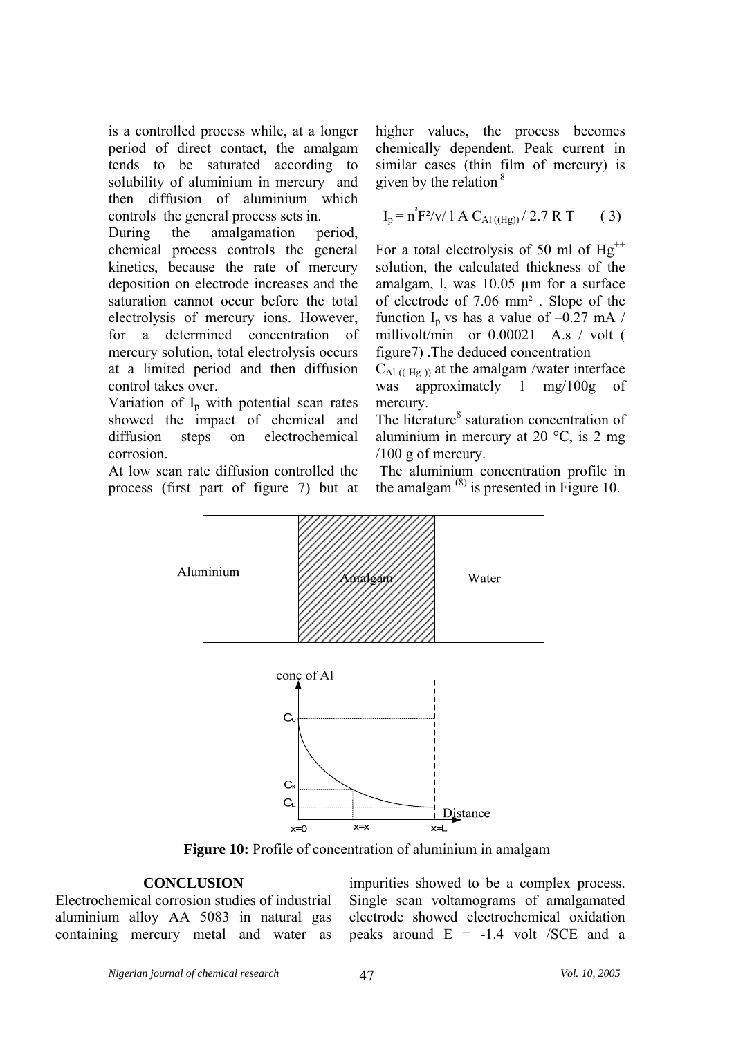is a controlled process while, at a longer period of direct contact, the amalgam tends to be saturated according to solubility of aluminium in mercury and then diffusion of aluminium which controls the general process sets in.

During the amalgamation period, chemical process controls the general kinetics, because the rate of mercury deposition on electrode increases and the saturation cannot occur before the total electrolysis of mercury ions. However, for a determined concentration of mercury solution, total electrolysis occurs at a limited period and then diffusion control takes over.

Variation of  $I_p$  with potential scan rates showed the impact of chemical and diffusion steps on electrochemical corrosion.

At low scan rate diffusion controlled the process (first part of figure 7) but at higher values, the process becomes chemically dependent. Peak current in similar cases (thin film of mercury) is given by the relation  $8$ 

$$
I_p = n^2 F^2 / v / 1 A C_{Al (Hg))} / 2.7 R T
$$
 (3)

For a total electrolysis of 50 ml of  $Hg^{++}$ solution, the calculated thickness of the amalgam, l, was 10.05 µm for a surface of electrode of 7.06 mm² . Slope of the function I<sub>p</sub> vs has a value of  $-0.27$  mA / millivolt/min or 0.00021 A.s / volt ( figure7) .The deduced concentration

 $C_{\text{Al (Hg)}}$  at the amalgam /water interface was approximately 1 mg/100g of mercury.

The literature<sup>8</sup> saturation concentration of aluminium in mercury at 20  $^{\circ}$ C, is 2 mg /100 g of mercury.

 The aluminium concentration profile in the amalgam  $^{(8)}$  is presented in Figure 10.



**Figure 10:** Profile of concentration of aluminium in amalgam

# **CONCLUSION**

Electrochemical corrosion studies of industrial aluminium alloy AA 5083 in natural gas containing mercury metal and water as impurities showed to be a complex process. Single scan voltamograms of amalgamated electrode showed electrochemical oxidation peaks around  $E = -1.4$  volt /SCE and a